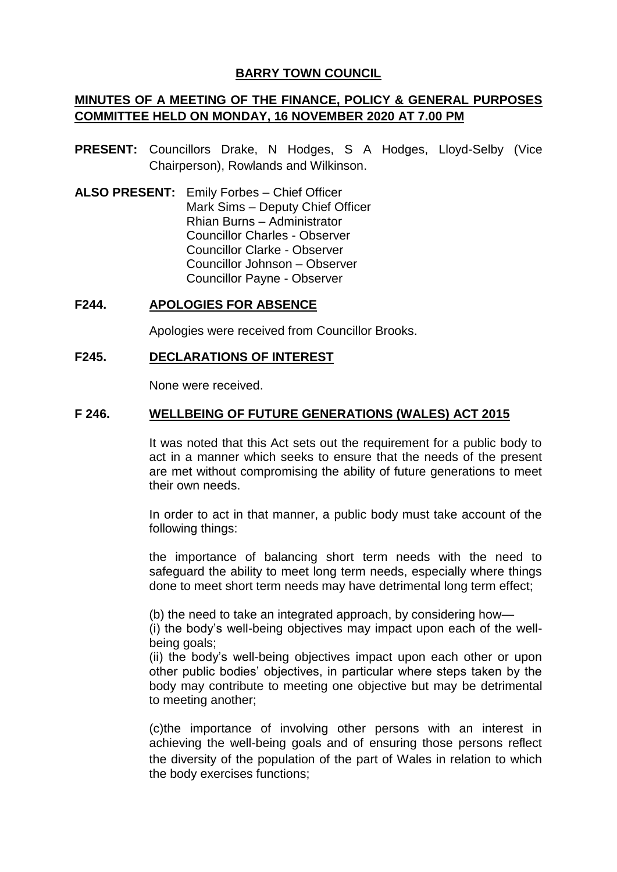# **BARRY TOWN COUNCIL**

# **MINUTES OF A MEETING OF THE FINANCE, POLICY & GENERAL PURPOSES COMMITTEE HELD ON MONDAY, 16 NOVEMBER 2020 AT 7.00 PM**

- **PRESENT:** Councillors Drake, N Hodges, S A Hodges, Lloyd-Selby (Vice Chairperson), Rowlands and Wilkinson.
- **ALSO PRESENT:** Emily Forbes Chief Officer Mark Sims – Deputy Chief Officer Rhian Burns – Administrator Councillor Charles - Observer Councillor Clarke - Observer Councillor Johnson – Observer Councillor Payne - Observer

### **F244. APOLOGIES FOR ABSENCE**

Apologies were received from Councillor Brooks.

### **F245. DECLARATIONS OF INTEREST**

None were received.

# **F 246. WELLBEING OF FUTURE GENERATIONS (WALES) ACT 2015**

It was noted that this Act sets out the requirement for a public body to act in a manner which seeks to ensure that the needs of the present are met without compromising the ability of future generations to meet their own needs.

In order to act in that manner, a public body must take account of the following things:

the importance of balancing short term needs with the need to safeguard the ability to meet long term needs, especially where things done to meet short term needs may have detrimental long term effect;

(b) the need to take an integrated approach, by considering how—

(i) the body's well-being objectives may impact upon each of the wellbeing goals;

(ii) the body's well-being objectives impact upon each other or upon other public bodies' objectives, in particular where steps taken by the body may contribute to meeting one objective but may be detrimental to meeting another;

(c)the importance of involving other persons with an interest in achieving the well-being goals and of ensuring those persons reflect the diversity of the population of the part of Wales in relation to which the body exercises functions;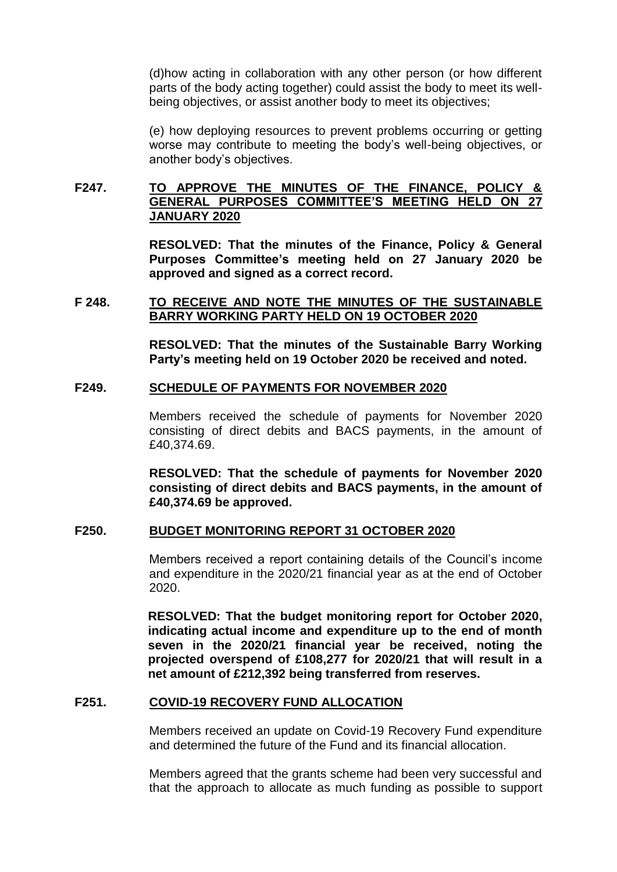(d)how acting in collaboration with any other person (or how different parts of the body acting together) could assist the body to meet its wellbeing objectives, or assist another body to meet its objectives;

(e) how deploying resources to prevent problems occurring or getting worse may contribute to meeting the body's well-being objectives, or another body's objectives.

# **F247. TO APPROVE THE MINUTES OF THE FINANCE, POLICY & GENERAL PURPOSES COMMITTEE'S MEETING HELD ON 27 JANUARY 2020**

**RESOLVED: That the minutes of the Finance, Policy & General Purposes Committee's meeting held on 27 January 2020 be approved and signed as a correct record.**

### **F 248. TO RECEIVE AND NOTE THE MINUTES OF THE SUSTAINABLE BARRY WORKING PARTY HELD ON 19 OCTOBER 2020**

**RESOLVED: That the minutes of the Sustainable Barry Working Party's meeting held on 19 October 2020 be received and noted.**

#### **F249. SCHEDULE OF PAYMENTS FOR NOVEMBER 2020**

Members received the schedule of payments for November 2020 consisting of direct debits and BACS payments, in the amount of £40,374.69.

**RESOLVED: That the schedule of payments for November 2020 consisting of direct debits and BACS payments, in the amount of £40,374.69 be approved.**

# **F250. BUDGET MONITORING REPORT 31 OCTOBER 2020**

Members received a report containing details of the Council's income and expenditure in the 2020/21 financial year as at the end of October 2020.

**RESOLVED: That the budget monitoring report for October 2020, indicating actual income and expenditure up to the end of month seven in the 2020/21 financial year be received, noting the projected overspend of £108,277 for 2020/21 that will result in a net amount of £212,392 being transferred from reserves.**

#### **F251. COVID-19 RECOVERY FUND ALLOCATION**

Members received an update on Covid-19 Recovery Fund expenditure and determined the future of the Fund and its financial allocation.

Members agreed that the grants scheme had been very successful and that the approach to allocate as much funding as possible to support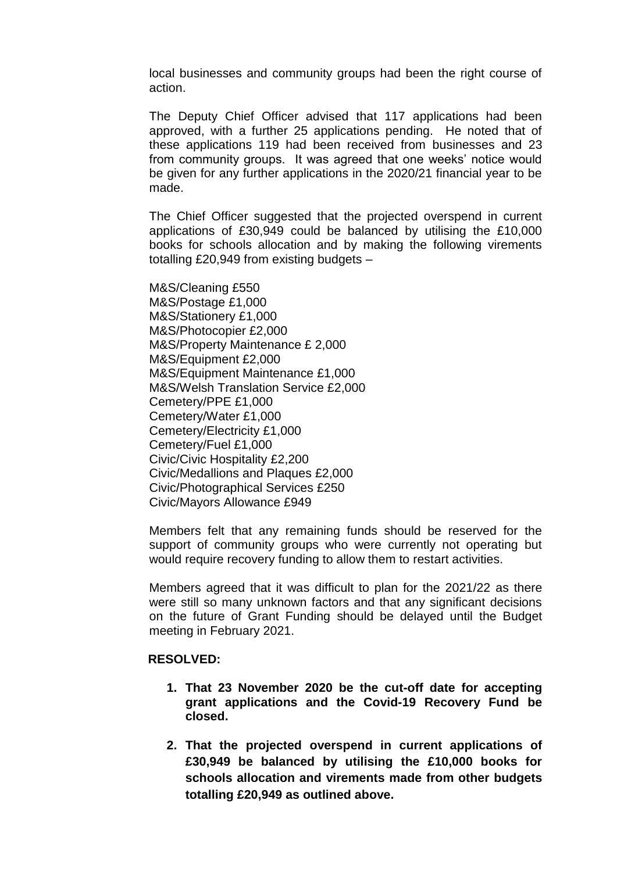local businesses and community groups had been the right course of action.

The Deputy Chief Officer advised that 117 applications had been approved, with a further 25 applications pending. He noted that of these applications 119 had been received from businesses and 23 from community groups. It was agreed that one weeks' notice would be given for any further applications in the 2020/21 financial year to be made.

The Chief Officer suggested that the projected overspend in current applications of £30,949 could be balanced by utilising the £10,000 books for schools allocation and by making the following virements totalling £20,949 from existing budgets –

M&S/Cleaning £550 M&S/Postage £1,000 M&S/Stationery £1,000 M&S/Photocopier £2,000 M&S/Property Maintenance £ 2,000 M&S/Equipment £2,000 M&S/Equipment Maintenance £1,000 M&S/Welsh Translation Service £2,000 Cemetery/PPE £1,000 Cemetery/Water £1,000 Cemetery/Electricity £1,000 Cemetery/Fuel £1,000 Civic/Civic Hospitality £2,200 Civic/Medallions and Plaques £2,000 Civic/Photographical Services £250 Civic/Mayors Allowance £949

Members felt that any remaining funds should be reserved for the support of community groups who were currently not operating but would require recovery funding to allow them to restart activities.

Members agreed that it was difficult to plan for the 2021/22 as there were still so many unknown factors and that any significant decisions on the future of Grant Funding should be delayed until the Budget meeting in February 2021.

#### **RESOLVED:**

- **1. That 23 November 2020 be the cut-off date for accepting grant applications and the Covid-19 Recovery Fund be closed.**
- **2. That the projected overspend in current applications of £30,949 be balanced by utilising the £10,000 books for schools allocation and virements made from other budgets totalling £20,949 as outlined above.**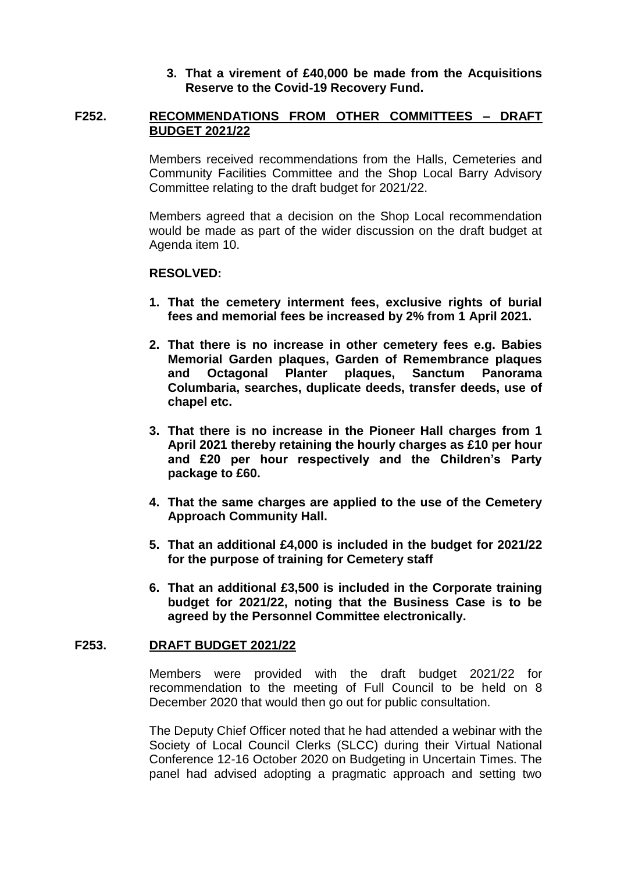### **3. That a virement of £40,000 be made from the Acquisitions Reserve to the Covid-19 Recovery Fund.**

#### **F252. RECOMMENDATIONS FROM OTHER COMMITTEES – DRAFT BUDGET 2021/22**

Members received recommendations from the Halls, Cemeteries and Community Facilities Committee and the Shop Local Barry Advisory Committee relating to the draft budget for 2021/22.

Members agreed that a decision on the Shop Local recommendation would be made as part of the wider discussion on the draft budget at Agenda item 10.

### **RESOLVED:**

- **1. That the cemetery interment fees, exclusive rights of burial fees and memorial fees be increased by 2% from 1 April 2021.**
- **2. That there is no increase in other cemetery fees e.g. Babies Memorial Garden plaques, Garden of Remembrance plaques and Octagonal Planter plaques, Sanctum Panorama Columbaria, searches, duplicate deeds, transfer deeds, use of chapel etc.**
- **3. That there is no increase in the Pioneer Hall charges from 1 April 2021 thereby retaining the hourly charges as £10 per hour and £20 per hour respectively and the Children's Party package to £60.**
- **4. That the same charges are applied to the use of the Cemetery Approach Community Hall.**
- **5. That an additional £4,000 is included in the budget for 2021/22 for the purpose of training for Cemetery staff**
- **6. That an additional £3,500 is included in the Corporate training budget for 2021/22, noting that the Business Case is to be agreed by the Personnel Committee electronically.**

#### **F253. DRAFT BUDGET 2021/22**

Members were provided with the draft budget 2021/22 for recommendation to the meeting of Full Council to be held on 8 December 2020 that would then go out for public consultation.

The Deputy Chief Officer noted that he had attended a webinar with the Society of Local Council Clerks (SLCC) during their Virtual National Conference 12-16 October 2020 on Budgeting in Uncertain Times. The panel had advised adopting a pragmatic approach and setting two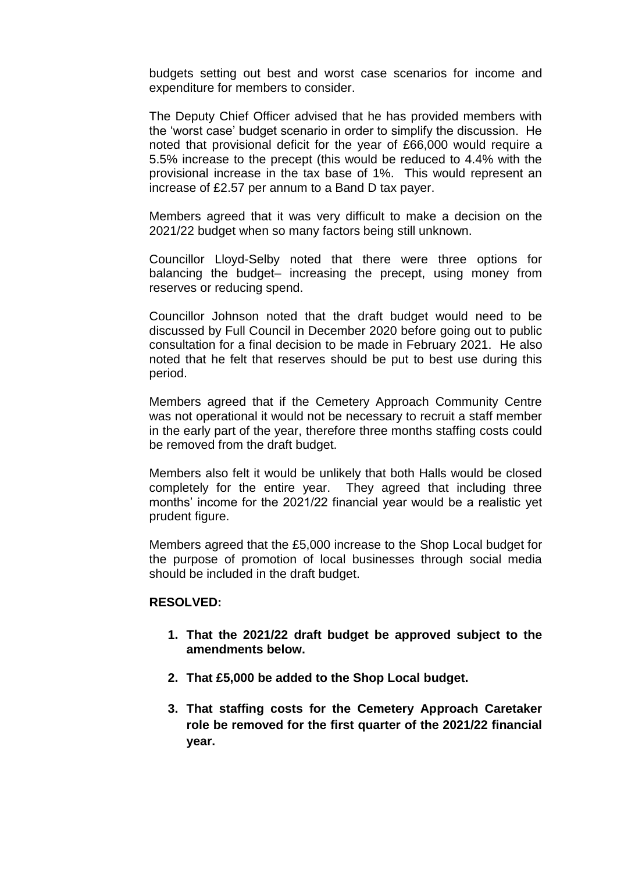budgets setting out best and worst case scenarios for income and expenditure for members to consider.

The Deputy Chief Officer advised that he has provided members with the 'worst case' budget scenario in order to simplify the discussion. He noted that provisional deficit for the year of £66,000 would require a 5.5% increase to the precept (this would be reduced to 4.4% with the provisional increase in the tax base of 1%. This would represent an increase of £2.57 per annum to a Band D tax payer.

Members agreed that it was very difficult to make a decision on the 2021/22 budget when so many factors being still unknown.

Councillor Lloyd-Selby noted that there were three options for balancing the budget– increasing the precept, using money from reserves or reducing spend.

Councillor Johnson noted that the draft budget would need to be discussed by Full Council in December 2020 before going out to public consultation for a final decision to be made in February 2021. He also noted that he felt that reserves should be put to best use during this period.

Members agreed that if the Cemetery Approach Community Centre was not operational it would not be necessary to recruit a staff member in the early part of the year, therefore three months staffing costs could be removed from the draft budget.

Members also felt it would be unlikely that both Halls would be closed completely for the entire year. They agreed that including three months' income for the 2021/22 financial year would be a realistic yet prudent figure.

Members agreed that the £5,000 increase to the Shop Local budget for the purpose of promotion of local businesses through social media should be included in the draft budget.

#### **RESOLVED:**

- **1. That the 2021/22 draft budget be approved subject to the amendments below.**
- **2. That £5,000 be added to the Shop Local budget.**
- **3. That staffing costs for the Cemetery Approach Caretaker role be removed for the first quarter of the 2021/22 financial year.**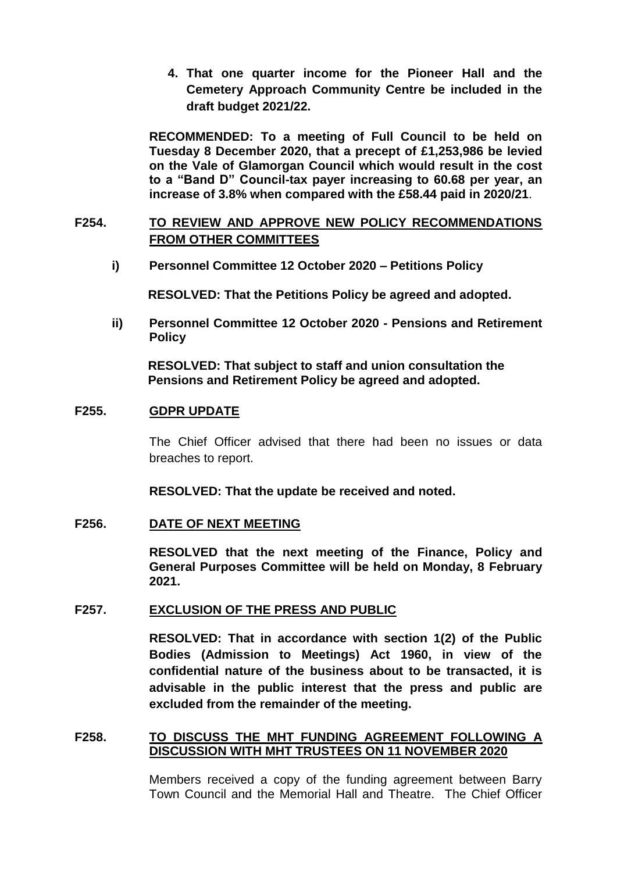**4. That one quarter income for the Pioneer Hall and the Cemetery Approach Community Centre be included in the draft budget 2021/22.** 

**RECOMMENDED: To a meeting of Full Council to be held on Tuesday 8 December 2020, that a precept of £1,253,986 be levied on the Vale of Glamorgan Council which would result in the cost to a "Band D" Council-tax payer increasing to 60.68 per year, an increase of 3.8% when compared with the £58.44 paid in 2020/21**.

# **F254. TO REVIEW AND APPROVE NEW POLICY RECOMMENDATIONS FROM OTHER COMMITTEES**

**i) Personnel Committee 12 October 2020 – Petitions Policy**

**RESOLVED: That the Petitions Policy be agreed and adopted.**

**ii) Personnel Committee 12 October 2020 - Pensions and Retirement Policy**

**RESOLVED: That subject to staff and union consultation the Pensions and Retirement Policy be agreed and adopted.**

### **F255. GDPR UPDATE**

The Chief Officer advised that there had been no issues or data breaches to report.

**RESOLVED: That the update be received and noted.**

#### **F256. DATE OF NEXT MEETING**

**RESOLVED that the next meeting of the Finance, Policy and General Purposes Committee will be held on Monday, 8 February 2021.**

### **F257. EXCLUSION OF THE PRESS AND PUBLIC**

**RESOLVED: That in accordance with section 1(2) of the Public Bodies (Admission to Meetings) Act 1960, in view of the confidential nature of the business about to be transacted, it is advisable in the public interest that the press and public are excluded from the remainder of the meeting.**

### **F258. TO DISCUSS THE MHT FUNDING AGREEMENT FOLLOWING A DISCUSSION WITH MHT TRUSTEES ON 11 NOVEMBER 2020**

Members received a copy of the funding agreement between Barry Town Council and the Memorial Hall and Theatre. The Chief Officer